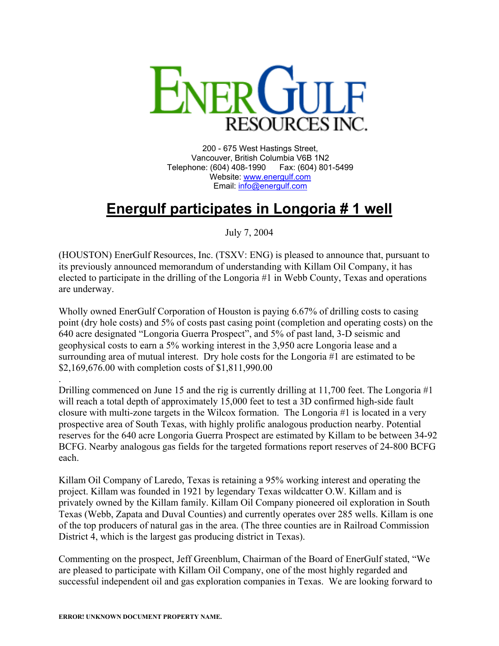

200 - 675 West Hastings Street, Vancouver, British Columbia V6B 1N2 Telephone: (604) 408-1990 Fax: (604) 801-5499 Website: [www.energulf.com](http://www.energulf.com/) Email: [info@energulf.com](mailto:info@energulf.com)

## **Energulf participates in Longoria # 1 well**

July 7, 2004

(HOUSTON) EnerGulf Resources, Inc. (TSXV: ENG) is pleased to announce that, pursuant to its previously announced memorandum of understanding with Killam Oil Company, it has elected to participate in the drilling of the Longoria #1 in Webb County, Texas and operations are underway.

Wholly owned EnerGulf Corporation of Houston is paying 6.67% of drilling costs to casing point (dry hole costs) and 5% of costs past casing point (completion and operating costs) on the 640 acre designated "Longoria Guerra Prospect", and 5% of past land, 3-D seismic and geophysical costs to earn a 5% working interest in the 3,950 acre Longoria lease and a surrounding area of mutual interest. Dry hole costs for the Longoria #1 are estimated to be \$2,169,676.00 with completion costs of \$1,811,990.00

. Drilling commenced on June 15 and the rig is currently drilling at 11,700 feet. The Longoria #1 will reach a total depth of approximately 15,000 feet to test a 3D confirmed high-side fault closure with multi-zone targets in the Wilcox formation. The Longoria #1 is located in a very prospective area of South Texas, with highly prolific analogous production nearby. Potential reserves for the 640 acre Longoria Guerra Prospect are estimated by Killam to be between 34-92 BCFG. Nearby analogous gas fields for the targeted formations report reserves of 24-800 BCFG each.

Killam Oil Company of Laredo, Texas is retaining a 95% working interest and operating the project. Killam was founded in 1921 by legendary Texas wildcatter O.W. Killam and is privately owned by the Killam family. Killam Oil Company pioneered oil exploration in South Texas (Webb, Zapata and Duval Counties) and currently operates over 285 wells. Killam is one of the top producers of natural gas in the area. (The three counties are in Railroad Commission District 4, which is the largest gas producing district in Texas).

Commenting on the prospect, Jeff Greenblum, Chairman of the Board of EnerGulf stated, "We are pleased to participate with Killam Oil Company, one of the most highly regarded and successful independent oil and gas exploration companies in Texas. We are looking forward to